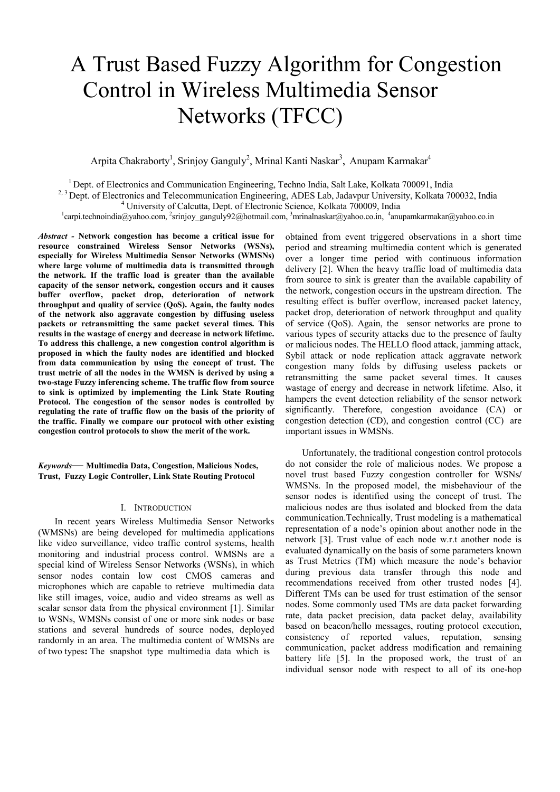# A Trust Based Fuzzy Algorithm for Congestion Control in Wireless Multimedia Sensor Networks (TFCC)

Arpita Chakraborty<sup>1</sup>, Srinjoy Ganguly<sup>2</sup>, Mrinal Kanti Naskar<sup>3</sup>, Anupam Karmakar<sup>4</sup>

<sup>1</sup> Dept. of Electronics and Communication Engineering, Techno India, Salt Lake, Kolkata 700091, India

<sup>2, 3</sup> Dept. of Electronics and Telecommunication Engineering, ADES Lab, Jadavpur University, Kolkata 700032, India

<sup>4</sup> University of Calcutta, Dept. of Electronic Science, Kolkata 700009, India

carpi.technoindia@yahoo.com, <sup>2</sup>srinjoy\_ganguly92@hotmail.com, <sup>3</sup>mrinalnaskar@yahoo.co.in, <sup>4</sup>anupamkarmakar@yahoo.co.in

*Abstract -* **Network congestion has become a critical issue for resource constrained Wireless Sensor Networks (WSNs), especially for Wireless Multimedia Sensor Networks (WMSNs) where large volume of multimedia data is transmitted through the network. If the traffic load is greater than the available capacity of the sensor network, congestion occurs and it causes buffer overflow, packet drop, deterioration of network throughput and quality of service (QoS). Again, the faulty nodes of the network also aggravate congestion by diffusing useless packets or retransmitting the same packet several times. This results in the wastage of energy and decrease in network lifetime. To address this challenge, a new congestion control algorithm is proposed in which the faulty nodes are identified and blocked from data communication by using the concept of trust. The trust metric of all the nodes in the WMSN is derived by using a two-stage Fuzzy inferencing scheme. The traffic flow from source to sink is optimized by implementing the Link State Routing Protocol. The congestion of the sensor nodes is controlled by regulating the rate of traffic flow on the basis of the priority of the traffic. Finally we compare our protocol with other existing congestion control protocols to show the merit of the work.**

*Keywords*— **Multimedia Data, Congestion, Malicious Nodes, Trust, Fuzzy Logic Controller, Link State Routing Protocol** 

#### I. INTRODUCTION

 In recent years Wireless Multimedia Sensor Networks (WMSNs) are being developed for multimedia applications like video surveillance, video traffic control systems, health monitoring and industrial process control. WMSNs are a special kind of Wireless Sensor Networks (WSNs), in which sensor nodes contain low cost CMOS cameras and microphones which are capable to retrieve multimedia data like still images, voice, audio and video streams as well as scalar sensor data from the physical environment [1]. Similar to WSNs, WMSNs consist of one or more sink nodes or base stations and several hundreds of source nodes, deployed randomly in an area. The multimedia content of WMSNs are of two types**:** The snapshot type multimedia data which is

obtained from event triggered observations in a short time period and streaming multimedia content which is generated over a longer time period with continuous information delivery [2]. When the heavy traffic load of multimedia data from source to sink is greater than the available capability of the network, congestion occurs in the upstream direction. The resulting effect is buffer overflow, increased packet latency, packet drop, deterioration of network throughput and quality of service (QoS). Again, the sensor networks are prone to various types of security attacks due to the presence of faulty or malicious nodes. The HELLO flood attack, jamming attack, Sybil attack or node replication attack aggravate network congestion many folds by diffusing useless packets or retransmitting the same packet several times. It causes wastage of energy and decrease in network lifetime. Also, it hampers the event detection reliability of the sensor network significantly. Therefore, congestion avoidance (CA) or congestion detection (CD), and congestion control (CC) are important issues in WMSNs.

 Unfortunately, the traditional congestion control protocols do not consider the role of malicious nodes. We propose a novel trust based Fuzzy congestion controller for WSNs**/**  WMSNs. In the proposed model, the misbehaviour of the sensor nodes is identified using the concept of trust. The malicious nodes are thus isolated and blocked from the data communication.Technically, Trust modeling is a mathematical representation of a node's opinion about another node in the network [3]. Trust value of each node w.r.t another node is evaluated dynamically on the basis of some parameters known as Trust Metrics (TM) which measure the node's behavior during previous data transfer through this node and recommendations received from other trusted nodes [4]. Different TMs can be used for trust estimation of the sensor nodes. Some commonly used TMs are data packet forwarding rate, data packet precision, data packet delay, availability based on beacon/hello messages, routing protocol execution, consistency of reported values, reputation, sensing communication, packet address modification and remaining battery life [5]. In the proposed work, the trust of an individual sensor node with respect to all of its one-hop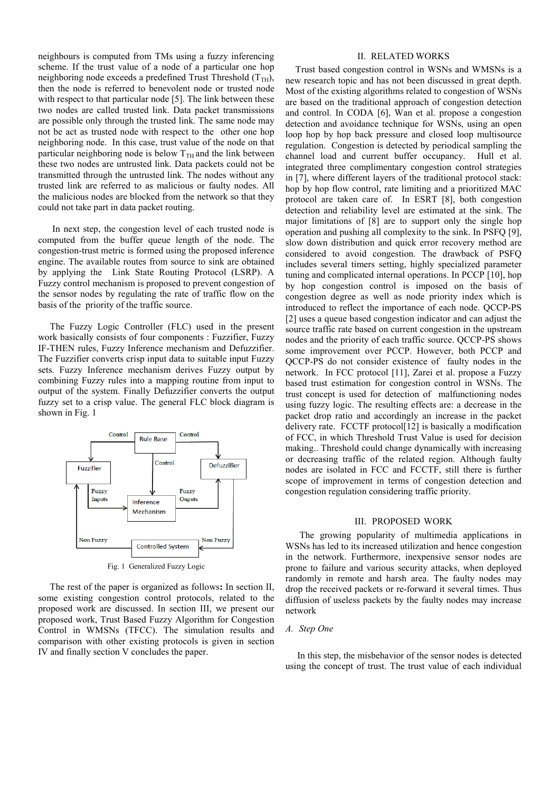neighbours is computed from TMs using a fuzzy inferencing scheme. If the trust value of a node of a particular one hop neighboring node exceeds a predefined Trust Threshold  $(T<sub>TH</sub>)$ , then the node is referred to benevolent node or trusted node with respect to that particular node [5]. The link between these two nodes are called trusted link. Data packet transmissions are possible only through the trusted link. The same node may not be act as trusted node with respect to the other one hop neighboring node. In this case, trust value of the node on that particular neighboring node is below  $T<sub>TH</sub>$  and the link between these two nodes are untrusted link. Data packets could not be transmitted through the untrusted link. The nodes without any trusted link are referred to as malicious or faulty nodes. All the malicious nodes are blocked from the network so that they could not take part in data packet routing.

 In next step, the congestion level of each trusted node is computed from the buffer queue length of the node. The congestion-trust metric is formed using the proposed inference engine. The available routes from source to sink are obtained by applying the Link State Routing Protocol (LSRP). A Fuzzy control mechanism is proposed to prevent congestion of the sensor nodes by regulating the rate of traffic flow on the basis of the priority of the traffic source.

 The Fuzzy Logic Controller (FLC) used in the present work basically consists of four components : Fuzzifier, Fuzzy IF-THEN rules, Fuzzy Inference mechanism and Defuzzifier. The Fuzzifier converts crisp input data to suitable input Fuzzy sets. Fuzzy Inference mechanism derives Fuzzy output by combining Fuzzy rules into a mapping routine from input to output of the system. Finally Defuzzifier converts the output fuzzy set to a crisp value. The general FLC block diagram is shown in Fig. 1



Fig. 1 Generalized Fuzzy Logic

 The rest of the paper is organized as follows**:** In section II, some existing congestion control protocols, related to the proposed work are discussed. In section III, we present our proposed work, Trust Based Fuzzy Algorithm for Congestion Control in WMSNs (TFCC). The simulation results and comparison with other existing protocols is given in section IV and finally section V concludes the paper.

## II. RELATED WORKS

Trust based congestion control in WSNs and WMSNs is a new research topic and has not been discussed in great depth. Most of the existing algorithms related to congestion of WSNs are based on the traditional approach of congestion detection and control. In CODA [6], Wan et al. propose a congestion detection and avoidance technique for WSNs, using an open loop hop by hop back pressure and closed loop multisource regulation. Congestion is detected by periodical sampling the channel load and current buffer occupancy. Hull et al. integrated three complimentary congestion control strategies in [7], where different layers of the traditional protocol stack: hop by hop flow control, rate limiting and a prioritized MAC protocol are taken care of. In ESRT [8], both congestion detection and reliability level are estimated at the sink. The major limitations of [8] are to support only the single hop operation and pushing all complexity to the sink. In PSFQ [9], slow down distribution and quick error recovery method are considered to avoid congestion. The drawback of PSFQ includes several timers setting, highly specialized parameter tuning and complicated internal operations. In PCCP [10], hop by hop congestion control is imposed on the basis of congestion degree as well as node priority index which is introduced to reflect the importance of each node. QCCP-PS [2] uses a queue based congestion indicator and can adjust the source traffic rate based on current congestion in the upstream nodes and the priority of each traffic source. QCCP-PS shows some improvement over PCCP. However, both PCCP and QCCP-PS do not consider existence of faulty nodes in the network. In FCC protocol [11], Zarei et al. propose a Fuzzy based trust estimation for congestion control in WSNs. The trust concept is used for detection of malfunctioning nodes using fuzzy logic. The resulting effects are: a decrease in the packet drop ratio and accordingly an increase in the packet delivery rate. FCCTF protocol[12] is basically a modification of FCC, in which Threshold Trust Value is used for decision making.. Threshold could change dynamically with increasing or decreasing traffic of the related region. Although faulty nodes are isolated in FCC and FCCTF, still there is further scope of improvement in terms of congestion detection and congestion regulation considering traffic priority.

#### III. PROPOSED WORK

 The growing popularity of multimedia applications in WSNs has led to its increased utilization and hence congestion in the network. Furthermore, inexpensive sensor nodes are prone to failure and various security attacks, when deployed randomly in remote and harsh area. The faulty nodes may drop the received packets or re-forward it several times. Thus diffusion of useless packets by the faulty nodes may increase network

## *A. Step One*

 In this step, the misbehavior of the sensor nodes is detected using the concept of trust. The trust value of each individual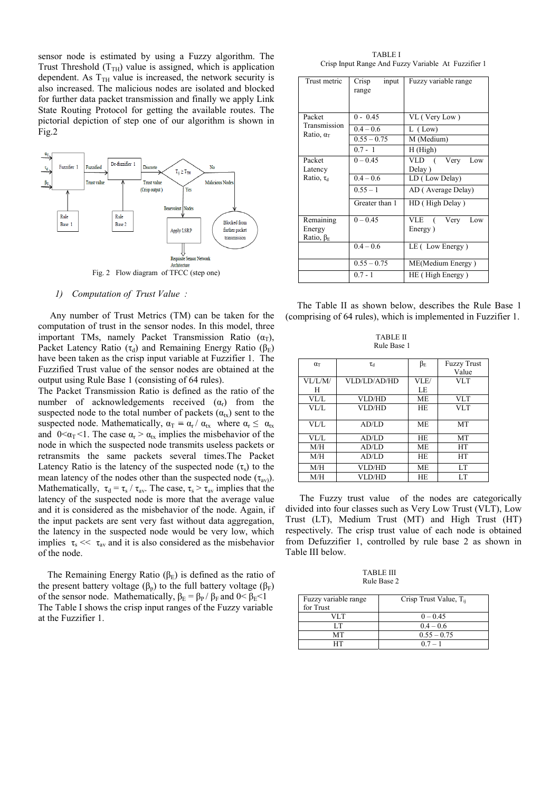sensor node is estimated by using a Fuzzy algorithm. The Trust Threshold  $(T<sub>TH</sub>)$  value is assigned, which is application dependent. As  $T<sub>TH</sub>$  value is increased, the network security is also increased. The malicious nodes are isolated and blocked for further data packet transmission and finally we apply Link State Routing Protocol for getting the available routes. The pictorial depiction of step one of our algorithm is shown in Fig.2



Fig. 2 Flow diagram of TFCC (step one)

#### *1) Computation of Trust Value :*

 Any number of Trust Metrics (TM) can be taken for the computation of trust in the sensor nodes. In this model, three important TMs, namely Packet Transmission Ratio  $(\alpha_T)$ , Packet Latency Ratio ( $\tau_d$ ) and Remaining Energy Ratio ( $\beta_F$ ) have been taken as the crisp input variable at Fuzzifier 1. The Fuzzified Trust value of the sensor nodes are obtained at the output using Rule Base 1 (consisting of 64 rules).

The Packet Transmission Ratio is defined as the ratio of the number of acknowledgements received  $(\alpha_r)$  from the suspected node to the total number of packets  $(\alpha_{tx})$  sent to the suspected node. Mathematically,  $\alpha_T = \alpha_r / \alpha_{tx}$  where  $\alpha_r \leq \alpha_{tx}$ and  $0 \leq \alpha_T \leq 1$ . The case  $\alpha_r > \alpha_{tx}$  implies the misbehavior of the node in which the suspected node transmits useless packets or retransmits the same packets several times.The Packet Latency Ratio is the latency of the suspected node  $(\tau_s)$  to the mean latency of the nodes other than the suspected node  $(\tau_{av})$ . Mathematically,  $\tau_d = \tau_s / \tau_{av}$ . The case,  $\tau_s > \tau_{av}$  implies that the latency of the suspected node is more that the average value and it is considered as the misbehavior of the node. Again, if the input packets are sent very fast without data aggregation, the latency in the suspected node would be very low, which implies  $\tau_s \ll \tau_{av}$  and it is also considered as the misbehavior of the node.

The Remaining Energy Ratio  $(\beta_F)$  is defined as the ratio of the present battery voltage ( $\beta_p$ ) to the full battery voltage ( $\beta_F$ ) of the sensor node. Mathematically,  $\beta_E = \beta_P / \beta_F$  and  $0 < \beta_E < 1$ The Table I shows the crisp input ranges of the Fuzzy variable at the Fuzzifier 1.

 TABLE I Crisp Input Range And Fuzzy Variable At Fuzzifier 1

| Trust metric                                           | Crisp<br>input<br>range | Fuzzy variable range |
|--------------------------------------------------------|-------------------------|----------------------|
| Packet<br>Transmission<br>Ratio, $\alpha$ <sup>T</sup> | $0 - 0.45$              | VL (Very Low)        |
|                                                        | $0.4 - 0.6$             | $L$ (Low)            |
|                                                        | $0.55 - 0.75$           | M (Medium)           |
|                                                        | $0.7 - 1$               | H(High)              |
| Packet                                                 | $0 - 0.45$              | VLD (<br>Very<br>Low |
| Latency                                                |                         | Delay)               |
| Ratio, $\tau_d$                                        | $0.4 - 0.6$             | LD (Low Delay)       |
|                                                        | $0.55 - 1$              | AD (Average Delay)   |
|                                                        | Greater than 1          | HD (High Delay)      |
| Remaining                                              | $0 - 0.45$              | VLE (<br>Very<br>Low |
| Energy                                                 |                         | Energy)              |
| Ratio, $\beta_{E}$                                     |                         |                      |
|                                                        | $0.4 - 0.6$             | LE (Low Energy)      |
|                                                        | $0.55 - 0.75$           | ME(Medium Energy)    |
|                                                        | $0.7 - 1$               | HE (High Energy)     |

 The Table II as shown below, describes the Rule Base 1 (comprising of 64 rules), which is implemented in Fuzzifier 1.

 TABLE II Rule Base 1

| $\alpha$ <sup>T</sup> | $\tau_d$      | $\beta_{\rm E}$ | <b>Fuzzy Trust</b> |
|-----------------------|---------------|-----------------|--------------------|
|                       |               |                 | Value              |
| VI/IM/                | VLD/LD/AD/HD  | VLE/            | VLT                |
| H                     |               | LE              |                    |
| VL/L                  | VLD/HD        | <b>ME</b>       | VLT                |
| VL/L                  | VLD/HD        | <b>HE</b>       | VLT                |
|                       |               |                 |                    |
| $V1/I$ .              | AD/LD         | <b>ME</b>       | <b>MT</b>          |
| VL/L                  | AD/LD         | <b>HE</b>       | MT                 |
| M/H                   | AD/LD         | <b>ME</b>       | HT                 |
| M/H                   | AD/LD         | <b>HE</b>       | <b>HT</b>          |
| M/H                   | <b>VLD/HD</b> | <b>ME</b>       | LT                 |
| M/H                   | VLD/HD        | HF.             | LT                 |

 The Fuzzy trust value of the nodes are categorically divided into four classes such as Very Low Trust (VLT), Low Trust (LT), Medium Trust (MT) and High Trust (HT) respectively. The crisp trust value of each node is obtained from Defuzzifier 1, controlled by rule base 2 as shown in Table III below.

 TABLE III Rule Base 2

| Fuzzy variable range<br>for Trust | Crisp Trust Value, $T_{ii}$ |
|-----------------------------------|-----------------------------|
| VI T                              | $0 - 0.45$                  |
| ΙТ                                | $0.4 - 0.6$                 |
| MТ                                | $0.55 - 0.75$               |
|                                   | $07 - 1$                    |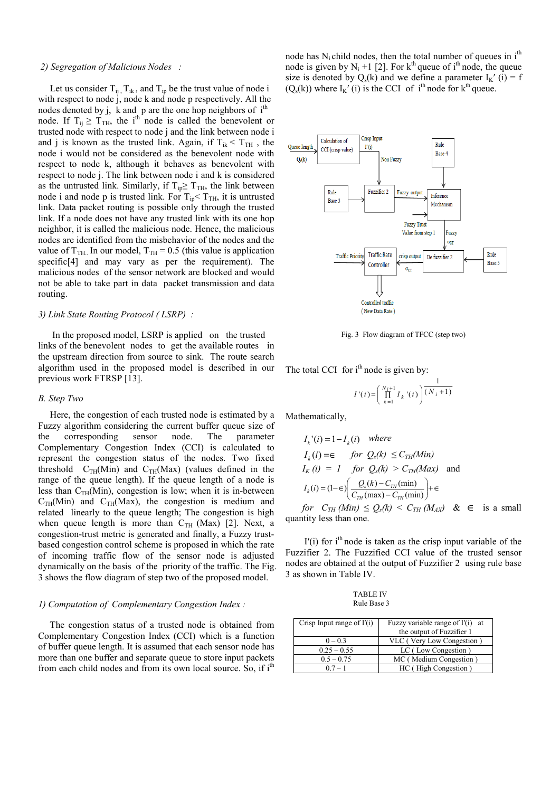## *2) Segregation of Malicious Nodes :*

Let us consider  $T_{ij}$ ,  $T_{ik}$ , and  $T_{ip}$  be the trust value of node i with respect to node j, node k and node p respectively. All the nodes denoted by j, k and p are the one hop neighbors of i<sup>th</sup> node. If  $T_{ij} \geq T_{TH}$ , the i<sup>th</sup> node is called the benevolent or trusted node with respect to node j and the link between node i and j is known as the trusted link. Again, if  $T_{ik} < T_{TH}$ , the node i would not be considered as the benevolent node with respect to node k, although it behaves as benevolent with respect to node j. The link between node i and k is considered as the untrusted link. Similarly, if  $T_{ip} \geq T_{TH}$ , the link between node i and node p is trusted link. For  $T_{ip} < T_{TH}$ , it is untrusted link. Data packet routing is possible only through the trusted link. If a node does not have any trusted link with its one hop neighbor, it is called the malicious node. Hence, the malicious nodes are identified from the misbehavior of the nodes and the value of  $T<sub>TH</sub>$ . In our model,  $T<sub>TH</sub> = 0.5$  (this value is application specific[4] and may vary as per the requirement). The malicious nodes of the sensor network are blocked and would not be able to take part in data packet transmission and data routing.

## *3) Link State Routing Protocol ( LSRP) :*

 In the proposed model, LSRP is applied on the trusted links of the benevolent nodes to get the available routes in the upstream direction from source to sink. The route search algorithm used in the proposed model is described in our previous work FTRSP [13].

#### *B. Step Two*

 Here, the congestion of each trusted node is estimated by a Fuzzy algorithm considering the current buffer queue size of the corresponding sensor node. The parameter Complementary Congestion Index (CCI) is calculated to represent the congestion status of the nodes. Two fixed threshold  $C<sub>TH</sub>(Min)$  and  $C<sub>TH</sub>(Max)$  (values defined in the range of the queue length). If the queue length of a node is less than  $C<sub>TH</sub>(Min)$ , congestion is low; when it is in-between  $C<sub>TH</sub>(Min)$  and  $C<sub>TH</sub>(Max)$ , the congestion is medium and related linearly to the queue length; The congestion is high when queue length is more than  $C<sub>TH</sub>$  (Max) [2]. Next, a congestion-trust metric is generated and finally, a Fuzzy trustbased congestion control scheme is proposed in which the rate of incoming traffic flow of the sensor node is adjusted dynamically on the basis of the priority of the traffic. The Fig. 3 shows the flow diagram of step two of the proposed model.

#### *1) Computation of Complementary Congestion Index :*

 The congestion status of a trusted node is obtained from Complementary Congestion Index (CCI) which is a function of buffer queue length. It is assumed that each sensor node has more than one buffer and separate queue to store input packets from each child nodes and from its own local source. So, if i<sup>th</sup>

node has  $N_i$  child nodes, then the total number of queues in  $i<sup>th</sup>$ node is given by  $N_i + 1$  [2]. For  $k<sup>th</sup>$  queue of i<sup>th</sup> node, the queue size is denoted by  $Q_s(k)$  and we define a parameter  $I_K'$  (i) = f  $(Q_s(k))$  where  $I_K'$  (i) is the CCI of i<sup>th</sup> node for  $k^{th}$  queue.



Fig. 3 Flow diagram of TFCC (step two)

The total CCI for  $i<sup>th</sup>$  node is given by:

$$
I'(i)\!=\!\!\left(\prod_{k=1}^{N_i+1}I_k^{\ \ \, \prime}(i)\right)\!\!\frac{1}{(N_i+1)}\!
$$

Mathematically,

$$
I_k'(i) = 1 - I_k(i) \quad where
$$
  
\n
$$
I_k(i) = \epsilon \quad \text{for } Q_s(k) \leq C_{TH}(Min)
$$
  
\n
$$
I_K(i) = 1 \quad \text{for } Q_s(k) > C_{TH}(Max) \quad \text{and}
$$
  
\n
$$
I_k(i) = (1 - \epsilon) \left( \frac{Q_s(k) - C_{TH}(min)}{C_{TH}(max) - C_{TH}(min)} \right) + \epsilon
$$

*for*  $C_{TH}$  (*Min*)  $\leq Q_s(k) \leq C_{TH}$  (*M<sub>AX</sub>*) &  $\in$  is a small quantity less than one.

 $I'(i)$  for  $i<sup>th</sup>$  node is taken as the crisp input variable of the Fuzzifier 2. The Fuzzified CCI value of the trusted sensor nodes are obtained at the output of Fuzzifier 2 using rule base 3 as shown in Table IV.

| TABLE IV    |  |
|-------------|--|
| Rule Base 3 |  |

| Crisp Input range of $I'(i)$ | Fuzzy variable range of I'(i) at |
|------------------------------|----------------------------------|
|                              | the output of Fuzzifier 1        |
| $0 - 0.3$                    | VLC (Very Low Congestion)        |
| $0.25 - 0.55$                | LC (Low Congestion)              |
| $0.5 - 0.75$                 | MC (Medium Congestion)           |
| $07 - 1$                     | HC (High Congestion)             |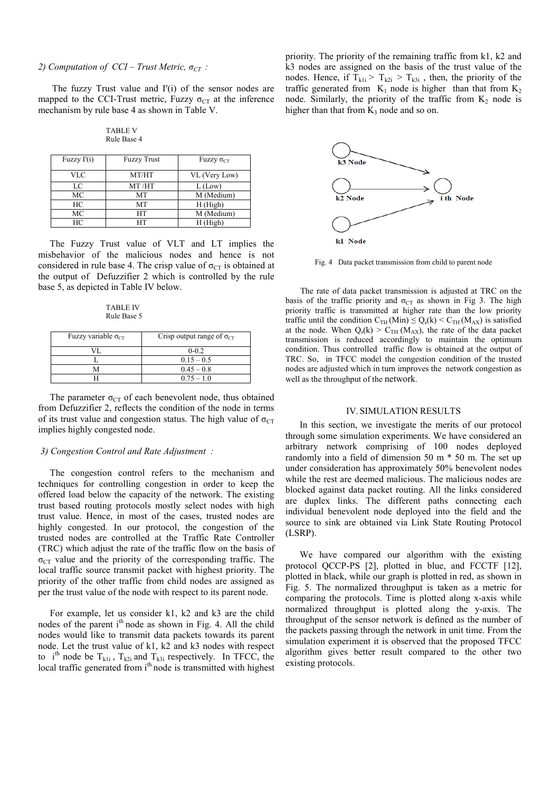## *2) Computation of CCI – Trust Metric,*  $\sigma_{CT}$ :

The fuzzy Trust value and  $I'(i)$  of the sensor nodes are mapped to the CCI-Trust metric, Fuzzy  $\sigma_{CT}$  at the inference mechanism by rule base 4 as shown in Table V.

TABLE V Rule Base 4

| Fuzzy $I'(i)$ | <b>Fuzzy Trust</b> | $Fuzzy \sigma_{CT}$ |
|---------------|--------------------|---------------------|
| VLC           | MT/HT              | VL (Very Low)       |
| LC            | MT /HT             | $L$ (Low)           |
| МC            | MT                 | M (Medium)          |
| HС            | МT                 | H(High)             |
| МC            | HТ                 | M (Medium)          |
| HC            | HT                 | H (High)            |

 The Fuzzy Trust value of VLT and LT implies the misbehavior of the malicious nodes and hence is not considered in rule base 4. The crisp value of  $\sigma_{CT}$  is obtained at the output of Defuzzifier 2 which is controlled by the rule base 5, as depicted in Table IV below.

TABLE IV Rule Base 5

| Fuzzy variable $\sigma_{CT}$ | Crisp output range of $\sigma_{CT}$ |
|------------------------------|-------------------------------------|
|                              | $0 - 0.2$                           |
|                              | $0.15 - 0.5$                        |
|                              | $0.45 - 0.8$                        |
|                              | $0.75 - 1.0$                        |

The parameter  $\sigma_{CT}$  of each benevolent node, thus obtained from Defuzzifier 2, reflects the condition of the node in terms of its trust value and congestion status. The high value of  $\sigma_{CT}$ implies highly congested node.

### *3) Congestion Control and Rate Adjustment :*

 The congestion control refers to the mechanism and techniques for controlling congestion in order to keep the offered load below the capacity of the network. The existing trust based routing protocols mostly select nodes with high trust value. Hence, in most of the cases, trusted nodes are highly congested. In our protocol, the congestion of the trusted nodes are controlled at the Traffic Rate Controller (TRC) which adjust the rate of the traffic flow on the basis of  $\sigma_{CT}$  value and the priority of the corresponding traffic. The local traffic source transmit packet with highest priority. The priority of the other traffic from child nodes are assigned as per the trust value of the node with respect to its parent node.

 For example, let us consider k1, k2 and k3 are the child nodes of the parent i<sup>th</sup> node as shown in Fig. 4. All the child nodes would like to transmit data packets towards its parent node. Let the trust value of k1, k2 and k3 nodes with respect to i<sup>th</sup> node be T<sub>k1i</sub>, T<sub>k2i</sub> and T<sub>k3i</sub> respectively. In TFCC, the local traffic generated from  $i<sup>th</sup>$  node is transmitted with highest

priority. The priority of the remaining traffic from k1, k2 and k3 nodes are assigned on the basis of the trust value of the nodes. Hence, if  $T_{k1i} > T_{k2i} > T_{k3i}$ , then, the priority of the traffic generated from  $K_1$  node is higher than that from  $K_2$ node. Similarly, the priority of the traffic from  $K_2$  node is higher than that from  $K_3$  node and so on.



Fig. 4 Data packet transmission from child to parent node

 The rate of data packet transmission is adjusted at TRC on the basis of the traffic priority and  $\sigma_{CT}$  as shown in Fig 3. The high priority traffic is transmitted at higher rate than the low priority traffic until the condition  $C_{TH}(Min) \leq Q_s(k) \leq C_{TH}(M_{AX})$  is satisfied at the node. When  $Q_s(k) > C_{TH} (M_{AX})$ , the rate of the data packet transmission is reduced accordingly to maintain the optimum condition. Thus controlled traffic flow is obtained at the output of TRC. So, in TFCC model the congestion condition of the trusted nodes are adjusted which in turn improves the network congestion as well as the throughput of the network.

#### IV.SIMULATION RESULTS

 In this section, we investigate the merits of our protocol through some simulation experiments. We have considered an arbitrary network comprising of 100 nodes deployed randomly into a field of dimension 50 m \* 50 m. The set up under consideration has approximately 50% benevolent nodes while the rest are deemed malicious. The malicious nodes are blocked against data packet routing. All the links considered are duplex links. The different paths connecting each individual benevolent node deployed into the field and the source to sink are obtained via Link State Routing Protocol (LSRP).

 We have compared our algorithm with the existing protocol QCCP-PS [2], plotted in blue, and FCCTF [12], plotted in black, while our graph is plotted in red, as shown in Fig. 5. The normalized throughput is taken as a metric for comparing the protocols. Time is plotted along x-axis while normalized throughput is plotted along the y-axis. The throughput of the sensor network is defined as the number of the packets passing through the network in unit time. From the simulation experiment it is observed that the proposed TFCC algorithm gives better result compared to the other two existing protocols.